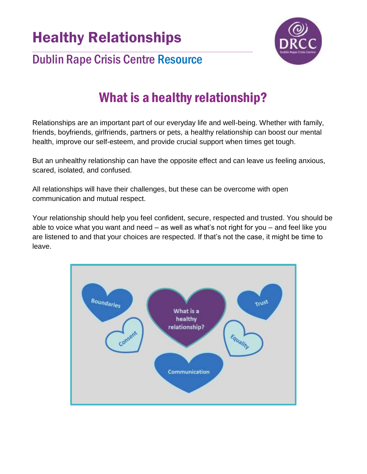Healthy Relationships



#### $\_$  ,  $\_$  ,  $\_$  ,  $\_$  ,  $\_$  ,  $\_$  ,  $\_$  ,  $\_$  ,  $\_$  ,  $\_$  ,  $\_$  ,  $\_$  ,  $\_$  ,  $\_$  ,  $\_$  ,  $\_$  ,  $\_$  ,  $\_$  ,  $\_$  ,  $\_$ Dublin Rape Crisis Centre Resource

# What is a healthy relationship?

Relationships are an important part of our everyday life and well-being. Whether with family, friends, boyfriends, girlfriends, partners or pets, a healthy relationship can boost our mental health, improve our self-esteem, and provide crucial support when times get tough.

But an unhealthy relationship can have the opposite effect and can leave us feeling anxious, scared, isolated, and confused.

All relationships will have their challenges, but these can be overcome with open communication and mutual respect.

Your relationship should help you feel confident, secure, respected and trusted. You should be able to voice what you want and need – as well as what's not right for you – and feel like you are listened to and that your choices are respected. If that's not the case, it might be time to leave.

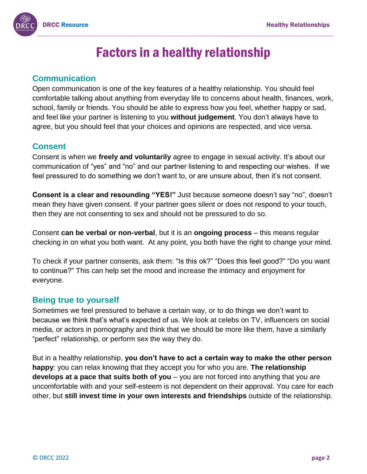

## Factors in a healthy relationship

#### **Communication**

Open communication is one of the key features of a healthy relationship. You should feel comfortable talking about anything from everyday life to concerns about health, finances, work, school, family or friends. You should be able to express how you feel, whether happy or sad, and feel like your partner is listening to you **without judgement**. You don't always have to agree, but you should feel that your choices and opinions are respected, and vice versa.

#### **Consent**

Consent is when we **freely and voluntarily** agree to engage in sexual activity. It's about our communication of "yes" and "no" and our partner listening to and respecting our wishes. If we feel pressured to do something we don't want to, or are unsure about, then it's not consent.

**Consent is a clear and resounding "YES!"** Just because someone doesn't say "no", doesn't mean they have given consent. If your partner goes silent or does not respond to your touch, then they are not consenting to sex and should not be pressured to do so.

Consent **can be verbal or non-verbal**, but it is an **ongoing process** – this means regular checking in on what you both want. At any point, you both have the right to change your mind.

To check if your partner consents, ask them: "Is this ok?" "Does this feel good?" "Do you want to continue?" This can help set the mood and increase the intimacy and enjoyment for everyone.

#### **Being true to yourself**

Sometimes we feel pressured to behave a certain way, or to do things we don't want to because we think that's what's expected of us. We look at celebs on TV, influencers on social media, or actors in pornography and think that we should be more like them, have a similarly "perfect" relationship, or perform sex the way they do.

But in a healthy relationship, **you don't have to act a certain way to make the other person happy**: you can relax knowing that they accept you for who you are. **The relationship develops at a pace that suits both of you** – you are not forced into anything that you are uncomfortable with and your self-esteem is not dependent on their approval. You care for each other, but **still invest time in your own interests and friendships** outside of the relationship.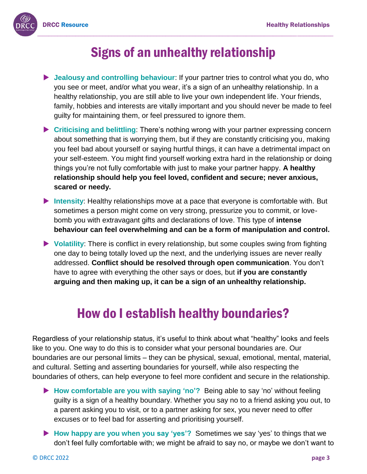

### Signs of an unhealthy relationship

- **D** Jealousy and controlling behaviour: If your partner tries to control what you do, who you see or meet, and/or what you wear, it's a sign of an unhealthy relationship. In a healthy relationship, you are still able to live your own independent life. Your friends, family, hobbies and interests are vitally important and you should never be made to feel guilty for maintaining them, or feel pressured to ignore them.
- **Criticising and belittling**: There's nothing wrong with your partner expressing concern about something that is worrying them, but if they are constantly criticising you, making you feel bad about yourself or saying hurtful things, it can have a detrimental impact on your self-esteem. You might find yourself working extra hard in the relationship or doing things you're not fully comfortable with just to make your partner happy. **A healthy relationship should help you feel loved, confident and secure; never anxious, scared or needy.**
- **Intensity**: Healthy relationships move at a pace that everyone is comfortable with. But sometimes a person might come on very strong, pressurize you to commit, or lovebomb you with extravagant gifts and declarations of love. This type of **intense behaviour can feel overwhelming and can be a form of manipulation and control.**
- **Volatility**: There is conflict in every relationship, but some couples swing from fighting one day to being totally loved up the next, and the underlying issues are never really addressed. **Conflict should be resolved through open communication**. You don't have to agree with everything the other says or does, but **if you are constantly arguing and then making up, it can be a sign of an unhealthy relationship.**

### How do I establish healthy boundaries?

Regardless of your relationship status, it's useful to think about what "healthy" looks and feels like to you. One way to do this is to consider what your personal boundaries are. Our boundaries are our personal limits – they can be physical, sexual, emotional, mental, material, and cultural. Setting and asserting boundaries for yourself, while also respecting the boundaries of others, can help everyone to feel more confident and secure in the relationship.

- **How comfortable are you with saying 'no'?** Being able to say 'no' without feeling guilty is a sign of a healthy boundary. Whether you say no to a friend asking you out, to a parent asking you to visit, or to a partner asking for sex, you never need to offer excuses or to feel bad for asserting and prioritising yourself.
- **How happy are you when you say 'yes'?** Sometimes we say 'yes' to things that we don't feel fully comfortable with; we might be afraid to say no, or maybe we don't want to